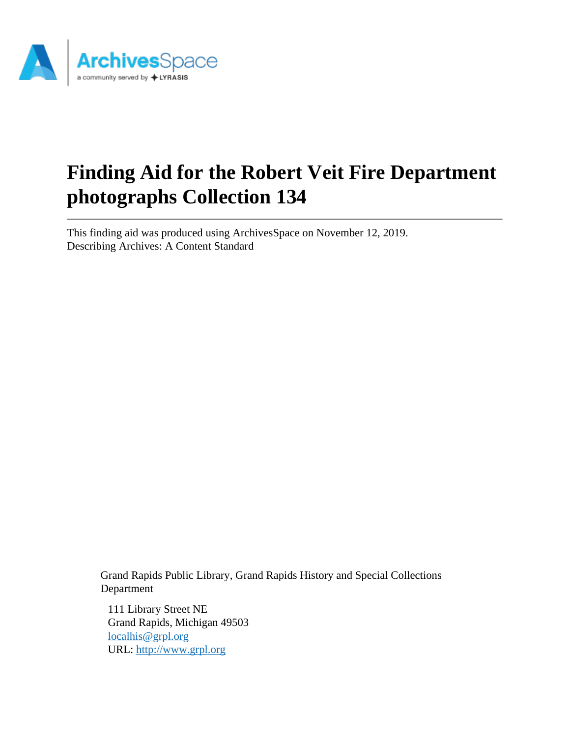

# **Finding Aid for the Robert Veit Fire Department photographs Collection 134**

This finding aid was produced using ArchivesSpace on November 12, 2019. Describing Archives: A Content Standard

Grand Rapids Public Library, Grand Rapids History and Special Collections Department

111 Library Street NE Grand Rapids, Michigan 49503 [localhis@grpl.org](mailto:localhis@grpl.org) URL:<http://www.grpl.org>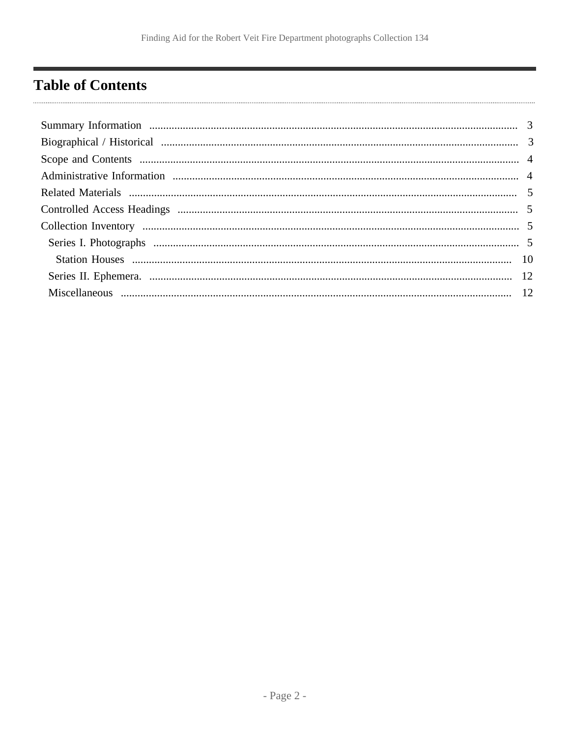# <span id="page-1-0"></span>**Table of Contents**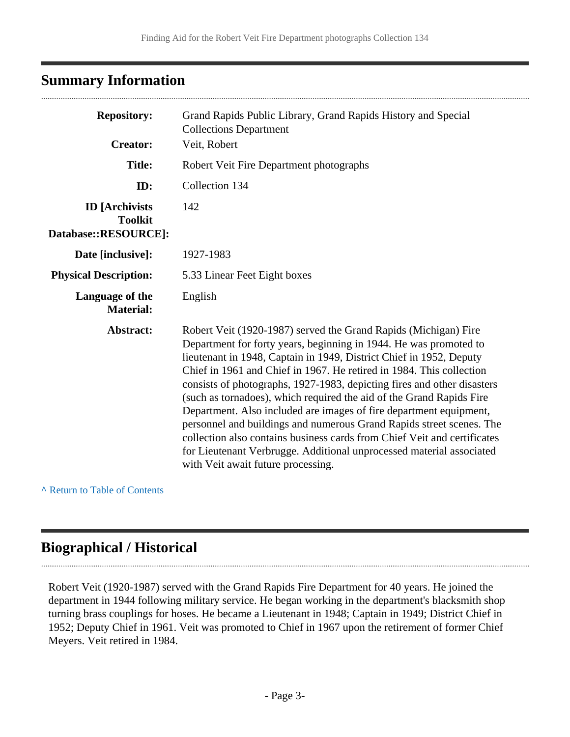# <span id="page-2-0"></span>**Summary Information**

| <b>Repository:</b>                                              | Grand Rapids Public Library, Grand Rapids History and Special<br><b>Collections Department</b>                                                                                                                                                                                                                                                                                                                                                                                                                                                                                                                                                                                                                                                                                 |
|-----------------------------------------------------------------|--------------------------------------------------------------------------------------------------------------------------------------------------------------------------------------------------------------------------------------------------------------------------------------------------------------------------------------------------------------------------------------------------------------------------------------------------------------------------------------------------------------------------------------------------------------------------------------------------------------------------------------------------------------------------------------------------------------------------------------------------------------------------------|
| <b>Creator:</b>                                                 | Veit, Robert                                                                                                                                                                                                                                                                                                                                                                                                                                                                                                                                                                                                                                                                                                                                                                   |
| <b>Title:</b>                                                   | Robert Veit Fire Department photographs                                                                                                                                                                                                                                                                                                                                                                                                                                                                                                                                                                                                                                                                                                                                        |
| ID:                                                             | Collection 134                                                                                                                                                                                                                                                                                                                                                                                                                                                                                                                                                                                                                                                                                                                                                                 |
| <b>ID</b> [Archivists<br><b>Toolkit</b><br>Database::RESOURCE]: | 142                                                                                                                                                                                                                                                                                                                                                                                                                                                                                                                                                                                                                                                                                                                                                                            |
| Date [inclusive]:                                               | 1927-1983                                                                                                                                                                                                                                                                                                                                                                                                                                                                                                                                                                                                                                                                                                                                                                      |
| <b>Physical Description:</b>                                    | 5.33 Linear Feet Eight boxes                                                                                                                                                                                                                                                                                                                                                                                                                                                                                                                                                                                                                                                                                                                                                   |
| Language of the<br><b>Material:</b>                             | English                                                                                                                                                                                                                                                                                                                                                                                                                                                                                                                                                                                                                                                                                                                                                                        |
| Abstract:                                                       | Robert Veit (1920-1987) served the Grand Rapids (Michigan) Fire<br>Department for forty years, beginning in 1944. He was promoted to<br>lieutenant in 1948, Captain in 1949, District Chief in 1952, Deputy<br>Chief in 1961 and Chief in 1967. He retired in 1984. This collection<br>consists of photographs, 1927-1983, depicting fires and other disasters<br>(such as tornadoes), which required the aid of the Grand Rapids Fire<br>Department. Also included are images of fire department equipment,<br>personnel and buildings and numerous Grand Rapids street scenes. The<br>collection also contains business cards from Chief Veit and certificates<br>for Lieutenant Verbrugge. Additional unprocessed material associated<br>with Veit await future processing. |

**^** [Return to Table of Contents](#page-1-0)

 $\overline{\phantom{a}}$ 

## <span id="page-2-1"></span>**Biographical / Historical**

Robert Veit (1920-1987) served with the Grand Rapids Fire Department for 40 years. He joined the department in 1944 following military service. He began working in the department's blacksmith shop turning brass couplings for hoses. He became a Lieutenant in 1948; Captain in 1949; District Chief in 1952; Deputy Chief in 1961. Veit was promoted to Chief in 1967 upon the retirement of former Chief Meyers. Veit retired in 1984.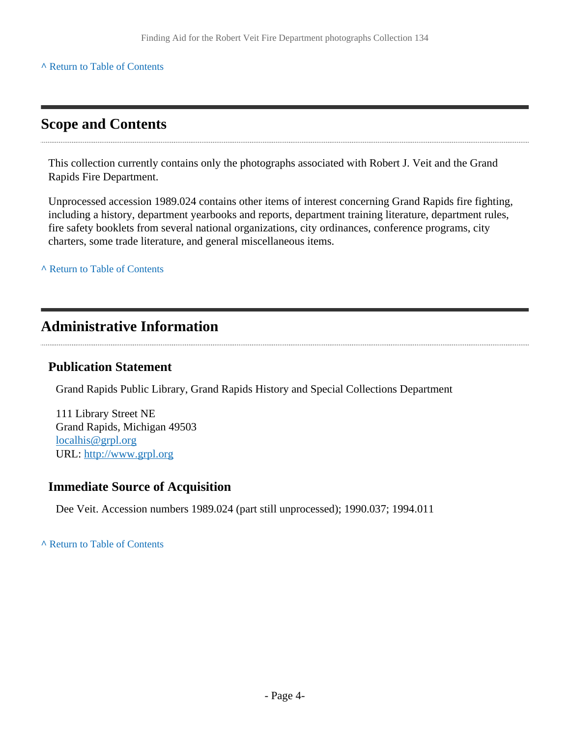#### **^** [Return to Table of Contents](#page-1-0)

### <span id="page-3-0"></span>**Scope and Contents**

This collection currently contains only the photographs associated with Robert J. Veit and the Grand Rapids Fire Department.

Unprocessed accession 1989.024 contains other items of interest concerning Grand Rapids fire fighting, including a history, department yearbooks and reports, department training literature, department rules, fire safety booklets from several national organizations, city ordinances, conference programs, city charters, some trade literature, and general miscellaneous items.

**^** [Return to Table of Contents](#page-1-0)

### <span id="page-3-1"></span>**Administrative Information**

#### **Publication Statement**

Grand Rapids Public Library, Grand Rapids History and Special Collections Department

111 Library Street NE Grand Rapids, Michigan 49503 [localhis@grpl.org](mailto:localhis@grpl.org) URL:<http://www.grpl.org>

#### **Immediate Source of Acquisition**

Dee Veit. Accession numbers 1989.024 (part still unprocessed); 1990.037; 1994.011

**^** [Return to Table of Contents](#page-1-0)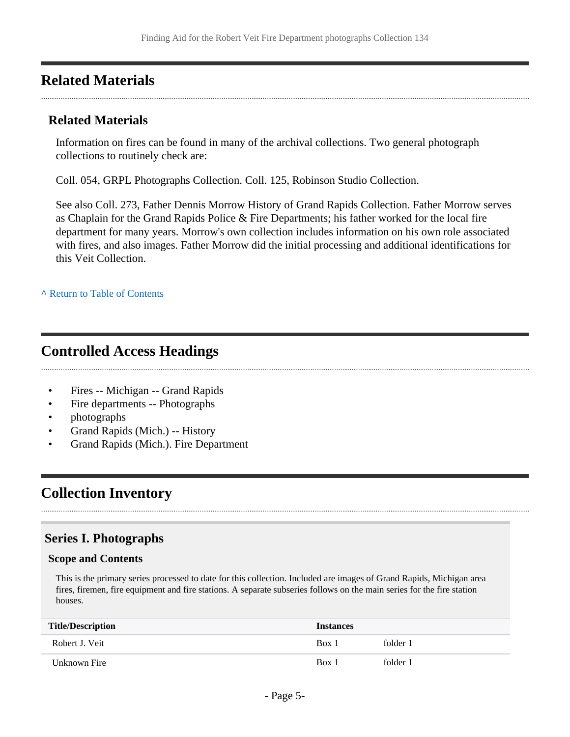### <span id="page-4-0"></span>**Related Materials**

#### **Related Materials**

Information on fires can be found in many of the archival collections. Two general photograph collections to routinely check are:

Coll. 054, GRPL Photographs Collection. Coll. 125, Robinson Studio Collection.

See also Coll. 273, Father Dennis Morrow History of Grand Rapids Collection. Father Morrow serves as Chaplain for the Grand Rapids Police & Fire Departments; his father worked for the local fire department for many years. Morrow's own collection includes information on his own role associated with fires, and also images. Father Morrow did the initial processing and additional identifications for this Veit Collection.

**^** [Return to Table of Contents](#page-1-0)

## <span id="page-4-1"></span>**Controlled Access Headings**

- Fires -- Michigan -- Grand Rapids
- Fire departments -- Photographs
- photographs
- Grand Rapids (Mich.) -- History
- Grand Rapids (Mich.). Fire Department

# <span id="page-4-2"></span>**Collection Inventory**

#### <span id="page-4-3"></span>**Series I. Photographs**

#### **Scope and Contents**

This is the primary series processed to date for this collection. Included are images of Grand Rapids, Michigan area fires, firemen, fire equipment and fire stations. A separate subseries follows on the main series for the fire station houses.

| <b>Title/Description</b> | <b>Instances</b> |          |
|--------------------------|------------------|----------|
| Robert J. Veit           | Box 1            | folder 1 |
| Unknown Fire             | Box 1            | folder 1 |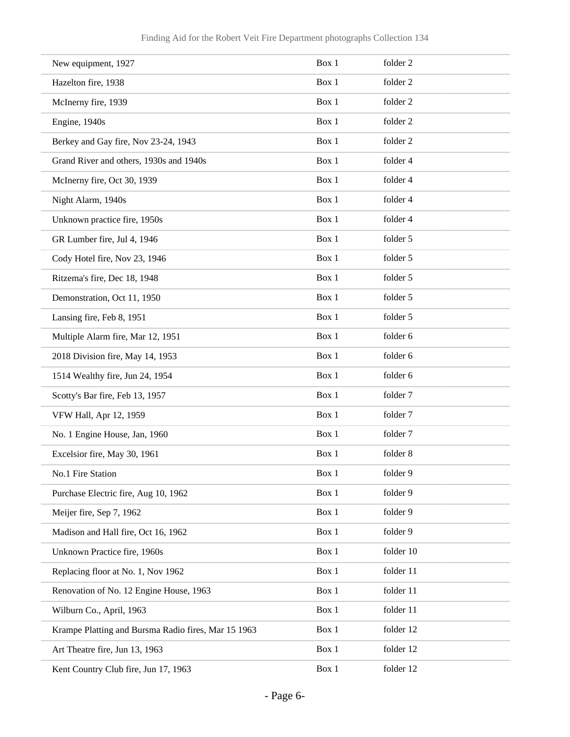| New equipment, 1927                                 | Box 1 | folder 2  |
|-----------------------------------------------------|-------|-----------|
| Hazelton fire, 1938                                 | Box 1 | folder 2  |
| McInerny fire, 1939                                 | Box 1 | folder 2  |
| Engine, 1940s                                       | Box 1 | folder 2  |
| Berkey and Gay fire, Nov 23-24, 1943                | Box 1 | folder 2  |
| Grand River and others, 1930s and 1940s             | Box 1 | folder 4  |
| McInerny fire, Oct 30, 1939                         | Box 1 | folder 4  |
| Night Alarm, 1940s                                  | Box 1 | folder 4  |
| Unknown practice fire, 1950s                        | Box 1 | folder 4  |
| GR Lumber fire, Jul 4, 1946                         | Box 1 | folder 5  |
| Cody Hotel fire, Nov 23, 1946                       | Box 1 | folder 5  |
| Ritzema's fire, Dec 18, 1948                        | Box 1 | folder 5  |
| Demonstration, Oct 11, 1950                         | Box 1 | folder 5  |
| Lansing fire, Feb 8, 1951                           | Box 1 | folder 5  |
| Multiple Alarm fire, Mar 12, 1951                   | Box 1 | folder 6  |
| 2018 Division fire, May 14, 1953                    | Box 1 | folder 6  |
| 1514 Wealthy fire, Jun 24, 1954                     | Box 1 | folder 6  |
| Scotty's Bar fire, Feb 13, 1957                     | Box 1 | folder 7  |
| VFW Hall, Apr 12, 1959                              | Box 1 | folder 7  |
| No. 1 Engine House, Jan, 1960                       | Box 1 | folder 7  |
| Excelsior fire, May 30, 1961                        | Box 1 | folder 8  |
| No.1 Fire Station                                   | Box 1 | folder 9  |
| Purchase Electric fire, Aug 10, 1962                | Box 1 | folder 9  |
| Meijer fire, Sep 7, 1962                            | Box 1 | folder 9  |
| Madison and Hall fire, Oct 16, 1962                 | Box 1 | folder 9  |
| Unknown Practice fire, 1960s                        | Box 1 | folder 10 |
| Replacing floor at No. 1, Nov 1962                  | Box 1 | folder 11 |
| Renovation of No. 12 Engine House, 1963             | Box 1 | folder 11 |
| Wilburn Co., April, 1963                            | Box 1 | folder 11 |
| Krampe Platting and Bursma Radio fires, Mar 15 1963 | Box 1 | folder 12 |
| Art Theatre fire, Jun 13, 1963                      | Box 1 | folder 12 |
| Kent Country Club fire, Jun 17, 1963                | Box 1 | folder 12 |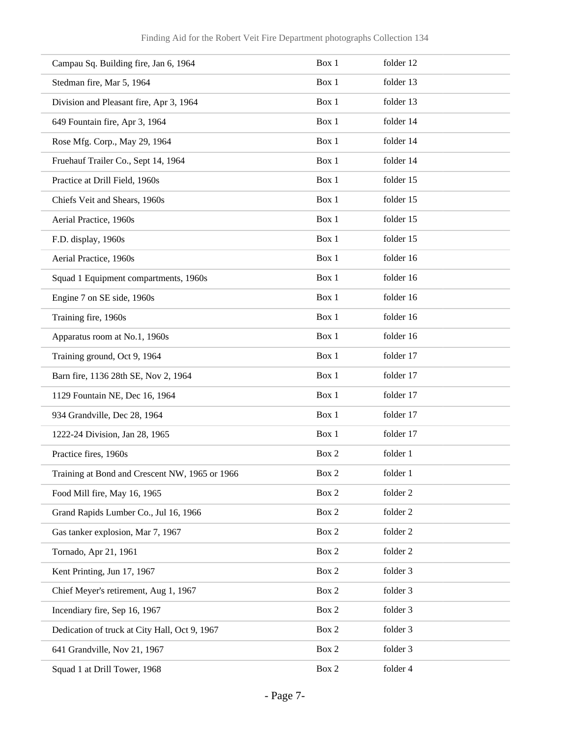| Campau Sq. Building fire, Jan 6, 1964          | Box 1 | folder 12 |
|------------------------------------------------|-------|-----------|
| Stedman fire, Mar 5, 1964                      | Box 1 | folder 13 |
| Division and Pleasant fire, Apr 3, 1964        | Box 1 | folder 13 |
| 649 Fountain fire, Apr 3, 1964                 | Box 1 | folder 14 |
| Rose Mfg. Corp., May 29, 1964                  | Box 1 | folder 14 |
| Fruehauf Trailer Co., Sept 14, 1964            | Box 1 | folder 14 |
| Practice at Drill Field, 1960s                 | Box 1 | folder 15 |
| Chiefs Veit and Shears, 1960s                  | Box 1 | folder 15 |
| Aerial Practice, 1960s                         | Box 1 | folder 15 |
| F.D. display, 1960s                            | Box 1 | folder 15 |
| Aerial Practice, 1960s                         | Box 1 | folder 16 |
| Squad 1 Equipment compartments, 1960s          | Box 1 | folder 16 |
| Engine 7 on SE side, 1960s                     | Box 1 | folder 16 |
| Training fire, 1960s                           | Box 1 | folder 16 |
| Apparatus room at No.1, 1960s                  | Box 1 | folder 16 |
| Training ground, Oct 9, 1964                   | Box 1 | folder 17 |
| Barn fire, 1136 28th SE, Nov 2, 1964           | Box 1 | folder 17 |
| 1129 Fountain NE, Dec 16, 1964                 | Box 1 | folder 17 |
| 934 Grandville, Dec 28, 1964                   | Box 1 | folder 17 |
| 1222-24 Division, Jan 28, 1965                 | Box 1 | folder 17 |
| Practice fires, 1960s                          | Box 2 | folder 1  |
| Training at Bond and Crescent NW, 1965 or 1966 | Box 2 | folder 1  |
| Food Mill fire, May 16, 1965                   | Box 2 | folder 2  |
| Grand Rapids Lumber Co., Jul 16, 1966          | Box 2 | folder 2  |
| Gas tanker explosion, Mar 7, 1967              | Box 2 | folder 2  |
| Tornado, Apr 21, 1961                          | Box 2 | folder 2  |
| Kent Printing, Jun 17, 1967                    | Box 2 | folder 3  |
| Chief Meyer's retirement, Aug 1, 1967          | Box 2 | folder 3  |
| Incendiary fire, Sep 16, 1967                  | Box 2 | folder 3  |
| Dedication of truck at City Hall, Oct 9, 1967  | Box 2 | folder 3  |
| 641 Grandville, Nov 21, 1967                   | Box 2 | folder 3  |
| Squad 1 at Drill Tower, 1968                   | Box 2 | folder 4  |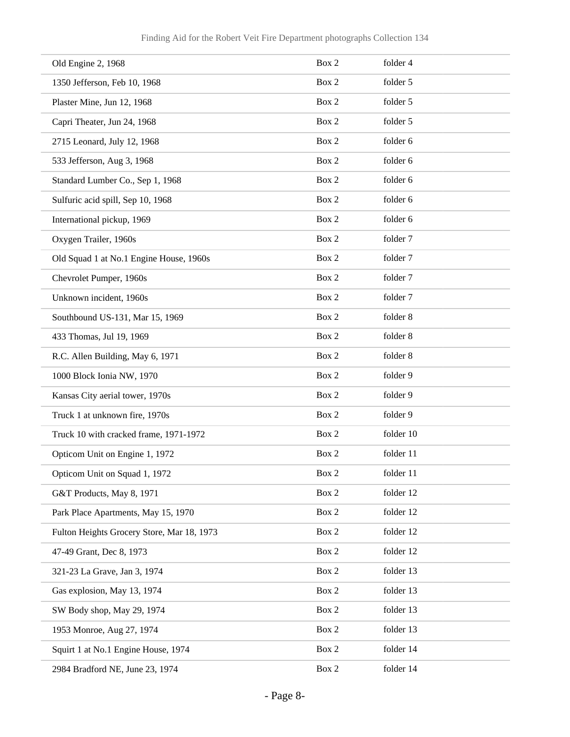| Old Engine 2, 1968                         | Box 2 | folder 4  |
|--------------------------------------------|-------|-----------|
| 1350 Jefferson, Feb 10, 1968               | Box 2 | folder 5  |
| Plaster Mine, Jun 12, 1968                 | Box 2 | folder 5  |
| Capri Theater, Jun 24, 1968                | Box 2 | folder 5  |
| 2715 Leonard, July 12, 1968                | Box 2 | folder 6  |
| 533 Jefferson, Aug 3, 1968                 | Box 2 | folder 6  |
| Standard Lumber Co., Sep 1, 1968           | Box 2 | folder 6  |
| Sulfuric acid spill, Sep 10, 1968          | Box 2 | folder 6  |
| International pickup, 1969                 | Box 2 | folder 6  |
| Oxygen Trailer, 1960s                      | Box 2 | folder 7  |
| Old Squad 1 at No.1 Engine House, 1960s    | Box 2 | folder 7  |
| Chevrolet Pumper, 1960s                    | Box 2 | folder 7  |
| Unknown incident, 1960s                    | Box 2 | folder 7  |
| Southbound US-131, Mar 15, 1969            | Box 2 | folder 8  |
| 433 Thomas, Jul 19, 1969                   | Box 2 | folder 8  |
| R.C. Allen Building, May 6, 1971           | Box 2 | folder 8  |
| 1000 Block Ionia NW, 1970                  | Box 2 | folder 9  |
| Kansas City aerial tower, 1970s            | Box 2 | folder 9  |
| Truck 1 at unknown fire, 1970s             | Box 2 | folder 9  |
| Truck 10 with cracked frame, 1971-1972     | Box 2 | folder 10 |
| Opticom Unit on Engine 1, 1972             | Box 2 | folder 11 |
| Opticom Unit on Squad 1, 1972              | Box 2 | folder 11 |
| G&T Products, May 8, 1971                  | Box 2 | folder 12 |
| Park Place Apartments, May 15, 1970        | Box 2 | folder 12 |
| Fulton Heights Grocery Store, Mar 18, 1973 | Box 2 | folder 12 |
| 47-49 Grant, Dec 8, 1973                   | Box 2 | folder 12 |
| 321-23 La Grave, Jan 3, 1974               | Box 2 | folder 13 |
| Gas explosion, May 13, 1974                | Box 2 | folder 13 |
| SW Body shop, May 29, 1974                 | Box 2 | folder 13 |
| 1953 Monroe, Aug 27, 1974                  | Box 2 | folder 13 |
| Squirt 1 at No.1 Engine House, 1974        | Box 2 | folder 14 |
| 2984 Bradford NE, June 23, 1974            | Box 2 | folder 14 |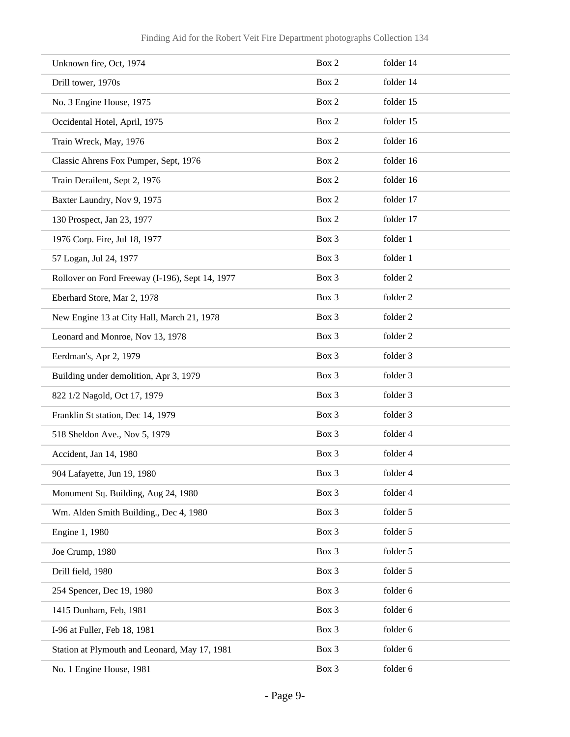| Unknown fire, Oct, 1974                         | Box 2 | folder 14 |
|-------------------------------------------------|-------|-----------|
| Drill tower, 1970s                              | Box 2 | folder 14 |
| No. 3 Engine House, 1975                        | Box 2 | folder 15 |
| Occidental Hotel, April, 1975                   | Box 2 | folder 15 |
| Train Wreck, May, 1976                          | Box 2 | folder 16 |
| Classic Ahrens Fox Pumper, Sept, 1976           | Box 2 | folder 16 |
| Train Derailent, Sept 2, 1976                   | Box 2 | folder 16 |
| Baxter Laundry, Nov 9, 1975                     | Box 2 | folder 17 |
| 130 Prospect, Jan 23, 1977                      | Box 2 | folder 17 |
| 1976 Corp. Fire, Jul 18, 1977                   | Box 3 | folder 1  |
| 57 Logan, Jul 24, 1977                          | Box 3 | folder 1  |
| Rollover on Ford Freeway (I-196), Sept 14, 1977 | Box 3 | folder 2  |
| Eberhard Store, Mar 2, 1978                     | Box 3 | folder 2  |
| New Engine 13 at City Hall, March 21, 1978      | Box 3 | folder 2  |
| Leonard and Monroe, Nov 13, 1978                | Box 3 | folder 2  |
| Eerdman's, Apr 2, 1979                          | Box 3 | folder 3  |
| Building under demolition, Apr 3, 1979          | Box 3 | folder 3  |
| 822 1/2 Nagold, Oct 17, 1979                    | Box 3 | folder 3  |
| Franklin St station, Dec 14, 1979               | Box 3 | folder 3  |
| 518 Sheldon Ave., Nov 5, 1979                   | Box 3 | folder 4  |
| Accident, Jan 14, 1980                          | Box 3 | folder 4  |
| 904 Lafayette, Jun 19, 1980                     | Box 3 | folder 4  |
| Monument Sq. Building, Aug 24, 1980             | Box 3 | folder 4  |
| Wm. Alden Smith Building., Dec 4, 1980          | Box 3 | folder 5  |
| Engine 1, 1980                                  | Box 3 | folder 5  |
| Joe Crump, 1980                                 | Box 3 | folder 5  |
| Drill field, 1980                               | Box 3 | folder 5  |
| 254 Spencer, Dec 19, 1980                       | Box 3 | folder 6  |
| 1415 Dunham, Feb, 1981                          | Box 3 | folder 6  |
| I-96 at Fuller, Feb 18, 1981                    | Box 3 | folder 6  |
| Station at Plymouth and Leonard, May 17, 1981   | Box 3 | folder 6  |
| No. 1 Engine House, 1981                        | Box 3 | folder 6  |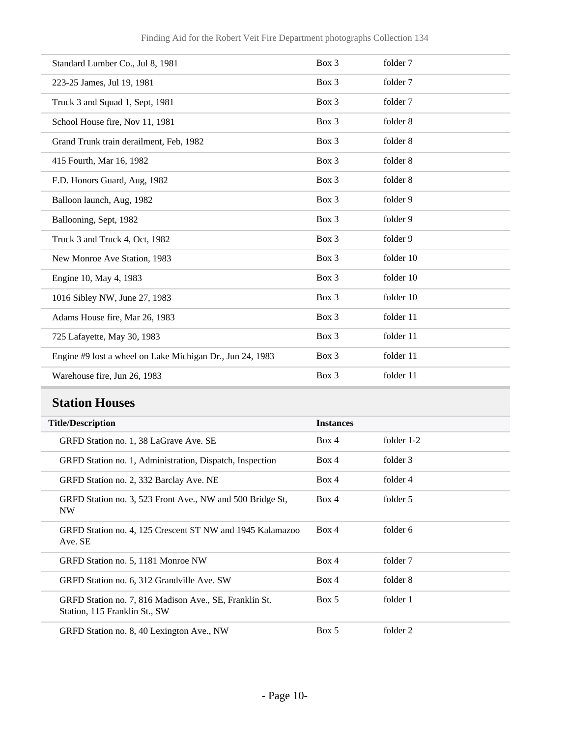| Standard Lumber Co., Jul 8, 1981                          | Box 3   | folder 7  |
|-----------------------------------------------------------|---------|-----------|
| 223-25 James, Jul 19, 1981                                | Box 3   | folder 7  |
| Truck 3 and Squad 1, Sept, 1981                           | Box 3   | folder 7  |
| School House fire, Nov 11, 1981                           | Box 3   | folder 8  |
| Grand Trunk train derailment, Feb, 1982                   | Box 3   | folder 8  |
| 415 Fourth, Mar 16, 1982                                  | Box 3   | folder 8  |
| F.D. Honors Guard, Aug, 1982                              | Box 3   | folder 8  |
| Balloon launch, Aug, 1982                                 | Box 3   | folder 9  |
| Ballooning, Sept, 1982                                    | Box 3   | folder 9  |
| Truck 3 and Truck 4, Oct, 1982                            | Box 3   | folder 9  |
| New Monroe Ave Station, 1983                              | Box 3   | folder 10 |
| Engine 10, May 4, 1983                                    | $Box$ 3 | folder 10 |
| 1016 Sibley NW, June 27, 1983                             | Box 3   | folder 10 |
| Adams House fire, Mar 26, 1983                            | Box 3   | folder 11 |
| 725 Lafayette, May 30, 1983                               | Box 3   | folder 11 |
| Engine #9 lost a wheel on Lake Michigan Dr., Jun 24, 1983 | Box 3   | folder 11 |
| Warehouse fire, Jun 26, 1983                              | Box 3   | folder 11 |

# <span id="page-9-0"></span>**Station Houses**

| <b>Title/Description</b>                                                                | <b>Instances</b> |              |
|-----------------------------------------------------------------------------------------|------------------|--------------|
| GRFD Station no. 1, 38 LaGrave Ave. SE                                                  | Box 4            | folder $1-2$ |
| GRFD Station no. 1, Administration, Dispatch, Inspection                                | Box 4            | folder 3     |
| GRFD Station no. 2, 332 Barclay Ave. NE                                                 | Box 4            | folder 4     |
| GRFD Station no. 3, 523 Front Ave., NW and 500 Bridge St,<br>NW                         | Box 4            | folder 5     |
| GRFD Station no. 4, 125 Crescent ST NW and 1945 Kalamazoo<br>Ave. SE                    | Box 4            | folder 6     |
| GRFD Station no. 5, 1181 Monroe NW                                                      | Box 4            | folder 7     |
| GRFD Station no. 6, 312 Grandville Ave. SW                                              | Box 4            | folder 8     |
| GRFD Station no. 7, 816 Madison Ave., SE, Franklin St.<br>Station, 115 Franklin St., SW | Box 5            | folder 1     |
| GRFD Station no. 8, 40 Lexington Ave., NW                                               | Box 5            | folder 2     |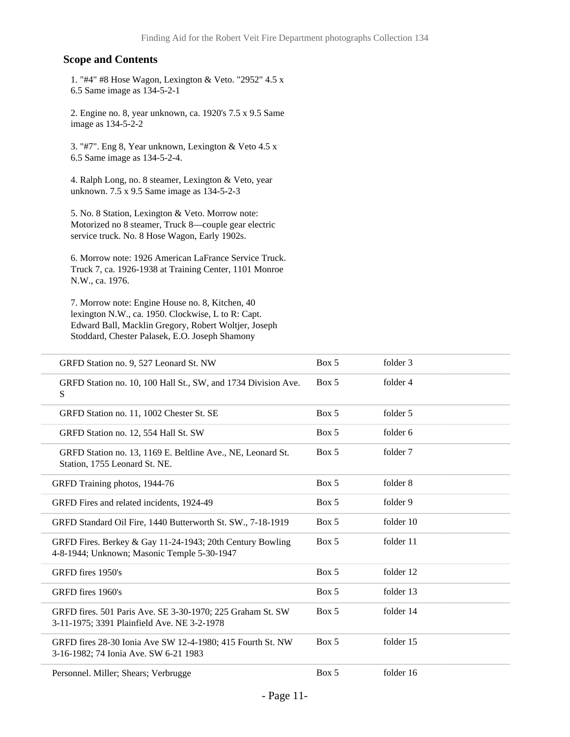#### **Scope and Contents**

1. "#4" #8 Hose Wagon, Lexington & Veto. "2952" 4.5 x 6.5 Same image as 134-5-2-1

2. Engine no. 8, year unknown, ca. 1920's 7.5 x 9.5 Same image as 134-5-2-2

3. "#7". Eng 8, Year unknown, Lexington & Veto 4.5 x 6.5 Same image as 134-5-2-4.

4. Ralph Long, no. 8 steamer, Lexington & Veto, year unknown. 7.5 x 9.5 Same image as 134-5-2-3

5. No. 8 Station, Lexington & Veto. Morrow note: Motorized no 8 steamer, Truck 8—couple gear electric service truck. No. 8 Hose Wagon, Early 1902s.

6. Morrow note: 1926 American LaFrance Service Truck. Truck 7, ca. 1926-1938 at Training Center, 1101 Monroe N.W., ca. 1976.

7. Morrow note: Engine House no. 8, Kitchen, 40 lexington N.W., ca. 1950. Clockwise, L to R: Capt. Edward Ball, Macklin Gregory, Robert Woltjer, Joseph Stoddard, Chester Palasek, E.O. Joseph Shamony

| GRFD Station no. 9, 527 Leonard St. NW                                                                    | Box 5 | folder 3  |
|-----------------------------------------------------------------------------------------------------------|-------|-----------|
| GRFD Station no. 10, 100 Hall St., SW, and 1734 Division Ave.<br>S                                        | Box 5 | folder 4  |
| GRFD Station no. 11, 1002 Chester St. SE                                                                  | Box 5 | folder 5  |
| GRFD Station no. 12, 554 Hall St. SW                                                                      | Box 5 | folder 6  |
| GRFD Station no. 13, 1169 E. Beltline Ave., NE, Leonard St.<br>Station, 1755 Leonard St. NE.              | Box 5 | folder 7  |
| GRFD Training photos, 1944-76                                                                             | Box 5 | folder 8  |
| GRFD Fires and related incidents, 1924-49                                                                 | Box 5 | folder 9  |
| GRFD Standard Oil Fire, 1440 Butterworth St. SW., 7-18-1919                                               | Box 5 | folder 10 |
| GRFD Fires. Berkey & Gay 11-24-1943; 20th Century Bowling<br>4-8-1944; Unknown; Masonic Temple 5-30-1947  | Box 5 | folder 11 |
| GRFD fires 1950's                                                                                         | Box 5 | folder 12 |
| GRFD fires 1960's                                                                                         | Box 5 | folder 13 |
| GRFD fires. 501 Paris Ave. SE 3-30-1970; 225 Graham St. SW<br>3-11-1975; 3391 Plainfield Ave. NE 3-2-1978 | Box 5 | folder 14 |
| GRFD fires 28-30 Ionia Ave SW 12-4-1980; 415 Fourth St. NW<br>3-16-1982; 74 Ionia Ave. SW 6-21 1983       | Box 5 | folder 15 |
| Personnel. Miller; Shears; Verbrugge                                                                      | Box 5 | folder 16 |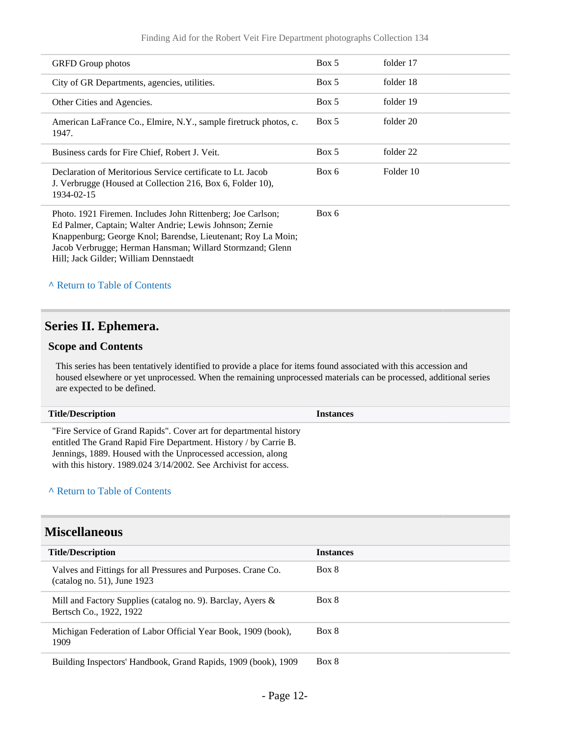| <b>GRFD</b> Group photos                                                                                                                                                                                                                                                                      | Box 5 | folder 17 |
|-----------------------------------------------------------------------------------------------------------------------------------------------------------------------------------------------------------------------------------------------------------------------------------------------|-------|-----------|
| City of GR Departments, agencies, utilities.                                                                                                                                                                                                                                                  | Box 5 | folder 18 |
| Other Cities and Agencies.                                                                                                                                                                                                                                                                    | Box 5 | folder 19 |
| American LaFrance Co., Elmire, N.Y., sample firetruck photos, c.<br>1947.                                                                                                                                                                                                                     | Box 5 | folder 20 |
| Business cards for Fire Chief, Robert J. Veit.                                                                                                                                                                                                                                                | Box 5 | folder 22 |
| Declaration of Meritorious Service certificate to Lt. Jacob<br>J. Verbrugge (Housed at Collection 216, Box 6, Folder 10),<br>1934-02-15                                                                                                                                                       | Box 6 | Folder 10 |
| Photo. 1921 Firemen. Includes John Rittenberg; Joe Carlson;<br>Ed Palmer, Captain; Walter Andrie; Lewis Johnson; Zernie<br>Knappenburg; George Knol; Barendse, Lieutenant; Roy La Moin;<br>Jacob Verbrugge; Herman Hansman; Willard Stormzand; Glenn<br>Hill; Jack Gilder; William Dennstaedt | Box 6 |           |

**^** [Return to Table of Contents](#page-1-0)

#### <span id="page-11-0"></span>**Series II. Ephemera.**

#### **Scope and Contents**

This series has been tentatively identified to provide a place for items found associated with this accession and housed elsewhere or yet unprocessed. When the remaining unprocessed materials can be processed, additional series are expected to be defined.

| <b>Title/Description</b>                                                                                                                                                                                                                                                   | <b>Instances</b> |
|----------------------------------------------------------------------------------------------------------------------------------------------------------------------------------------------------------------------------------------------------------------------------|------------------|
| "Fire Service of Grand Rapids". Cover art for departmental history<br>entitled The Grand Rapid Fire Department. History / by Carrie B.<br>Jennings, 1889. Housed with the Unprocessed accession, along<br>with this history. 1989.024 3/14/2002. See Archivist for access. |                  |

#### **^** [Return to Table of Contents](#page-1-0)

### <span id="page-11-1"></span>**Miscellaneous**

| <b>Title/Description</b>                                                                        | <b>Instances</b> |
|-------------------------------------------------------------------------------------------------|------------------|
| Valves and Fittings for all Pressures and Purposes. Crane Co.<br>$(catalog no. 51)$ , June 1923 | Box 8            |
| Mill and Factory Supplies (catalog no. 9). Barclay, Ayers $\&$<br>Bertsch Co., 1922, 1922       | Box 8            |
| Michigan Federation of Labor Official Year Book, 1909 (book),<br>1909                           | Box 8            |
| Building Inspectors' Handbook, Grand Rapids, 1909 (book), 1909                                  | Box 8            |